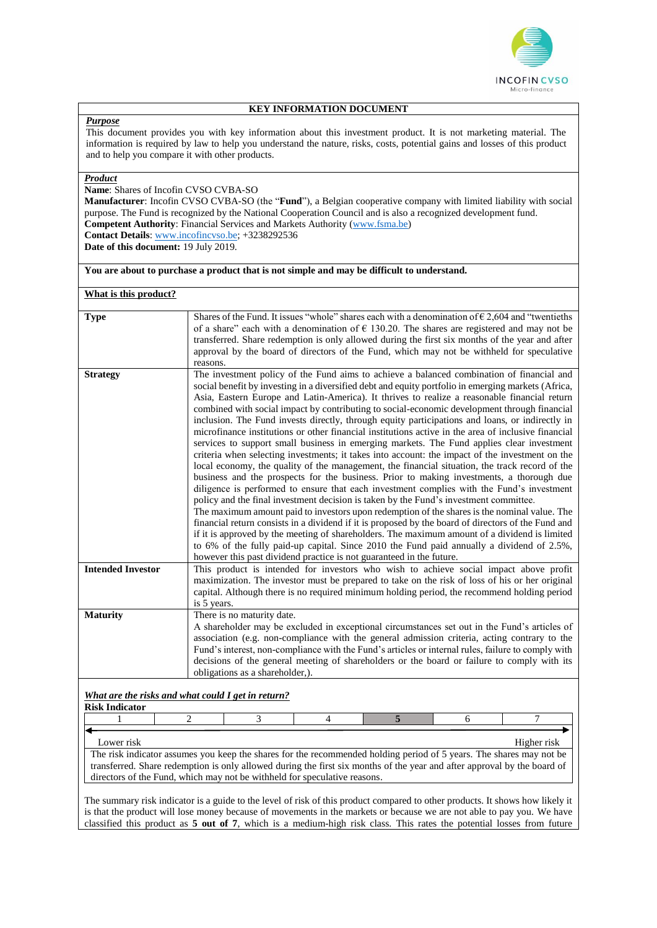

### **KEY INFORMATION DOCUMENT**

### *Purpose*

This document provides you with key information about this investment product. It is not marketing material. The information is required by law to help you understand the nature, risks, costs, potential gains and losses of this product and to help you compare it with other products.

## *Product*

**Name**: Shares of Incofin CVSO CVBA-SO

**Manufacturer**: Incofin CVSO CVBA-SO (the "**Fund**"), a Belgian cooperative company with limited liability with social purpose. The Fund is recognized by the National Cooperation Council and is also a recognized development fund. **Competent Authority**: Financial Services and Markets Authority [\(www.fsma.be\)](http://www.fsma.be/) **Contact Details**[: www.incofincvso.be;](http://www.incofincvso.be/) +3238292536

**Date of this document:** 19 July 2019.

# **You are about to purchase a product that is not simple and may be difficult to understand.**

### **What is this product?**

| <b>Type</b>                                        | Shares of the Fund. It issues "whole" shares each with a denomination of $\epsilon$ 2,604 and "twentieths                                                                                           |  |  |  |  |
|----------------------------------------------------|-----------------------------------------------------------------------------------------------------------------------------------------------------------------------------------------------------|--|--|--|--|
|                                                    | of a share" each with a denomination of $\epsilon$ 130.20. The shares are registered and may not be                                                                                                 |  |  |  |  |
|                                                    | transferred. Share redemption is only allowed during the first six months of the year and after                                                                                                     |  |  |  |  |
|                                                    | approval by the board of directors of the Fund, which may not be withheld for speculative                                                                                                           |  |  |  |  |
|                                                    | reasons.                                                                                                                                                                                            |  |  |  |  |
| <b>Strategy</b>                                    | The investment policy of the Fund aims to achieve a balanced combination of financial and                                                                                                           |  |  |  |  |
|                                                    | social benefit by investing in a diversified debt and equity portfolio in emerging markets (Africa,<br>Asia, Eastern Europe and Latin-America). It thrives to realize a reasonable financial return |  |  |  |  |
|                                                    | combined with social impact by contributing to social-economic development through financial                                                                                                        |  |  |  |  |
|                                                    | inclusion. The Fund invests directly, through equity participations and loans, or indirectly in                                                                                                     |  |  |  |  |
|                                                    | microfinance institutions or other financial institutions active in the area of inclusive financial                                                                                                 |  |  |  |  |
|                                                    | services to support small business in emerging markets. The Fund applies clear investment                                                                                                           |  |  |  |  |
|                                                    | criteria when selecting investments; it takes into account: the impact of the investment on the                                                                                                     |  |  |  |  |
|                                                    | local economy, the quality of the management, the financial situation, the track record of the                                                                                                      |  |  |  |  |
|                                                    | business and the prospects for the business. Prior to making investments, a thorough due                                                                                                            |  |  |  |  |
|                                                    | diligence is performed to ensure that each investment complies with the Fund's investment                                                                                                           |  |  |  |  |
|                                                    | policy and the final investment decision is taken by the Fund's investment committee.                                                                                                               |  |  |  |  |
|                                                    | The maximum amount paid to investors upon redemption of the shares is the nominal value. The                                                                                                        |  |  |  |  |
|                                                    | financial return consists in a dividend if it is proposed by the board of directors of the Fund and                                                                                                 |  |  |  |  |
|                                                    | if it is approved by the meeting of shareholders. The maximum amount of a dividend is limited                                                                                                       |  |  |  |  |
|                                                    | to 6% of the fully paid-up capital. Since 2010 the Fund paid annually a dividend of 2.5%,                                                                                                           |  |  |  |  |
|                                                    | however this past dividend practice is not guaranteed in the future.                                                                                                                                |  |  |  |  |
| <b>Intended Investor</b>                           | This product is intended for investors who wish to achieve social impact above profit                                                                                                               |  |  |  |  |
|                                                    | maximization. The investor must be prepared to take on the risk of loss of his or her original                                                                                                      |  |  |  |  |
|                                                    | capital. Although there is no required minimum holding period, the recommend holding period                                                                                                         |  |  |  |  |
|                                                    | is 5 years.                                                                                                                                                                                         |  |  |  |  |
| <b>Maturity</b>                                    | There is no maturity date.                                                                                                                                                                          |  |  |  |  |
|                                                    | A shareholder may be excluded in exceptional circumstances set out in the Fund's articles of                                                                                                        |  |  |  |  |
|                                                    | association (e.g. non-compliance with the general admission criteria, acting contrary to the                                                                                                        |  |  |  |  |
|                                                    | Fund's interest, non-compliance with the Fund's articles or internal rules, failure to comply with                                                                                                  |  |  |  |  |
|                                                    | decisions of the general meeting of shareholders or the board or failure to comply with its                                                                                                         |  |  |  |  |
|                                                    | obligations as a shareholder,).                                                                                                                                                                     |  |  |  |  |
|                                                    |                                                                                                                                                                                                     |  |  |  |  |
| What are the risks and what could I get in return? |                                                                                                                                                                                                     |  |  |  |  |
| <b>Risk Indicator</b>                              | 5                                                                                                                                                                                                   |  |  |  |  |
|                                                    | 3<br>2<br>4<br>6                                                                                                                                                                                    |  |  |  |  |
|                                                    |                                                                                                                                                                                                     |  |  |  |  |

Lower risk Higher risk The risk indicator assumes you keep the shares for the recommended holding period of 5 years. The shares may not be transferred. Share redemption is only allowed during the first six months of the year and after approval by the board of directors of the Fund, which may not be withheld for speculative reasons.

The summary risk indicator is a guide to the level of risk of this product compared to other products. It shows how likely it is that the product will lose money because of movements in the markets or because we are not able to pay you. We have classified this product as **5 out of 7**, which is a medium-high risk class. This rates the potential losses from future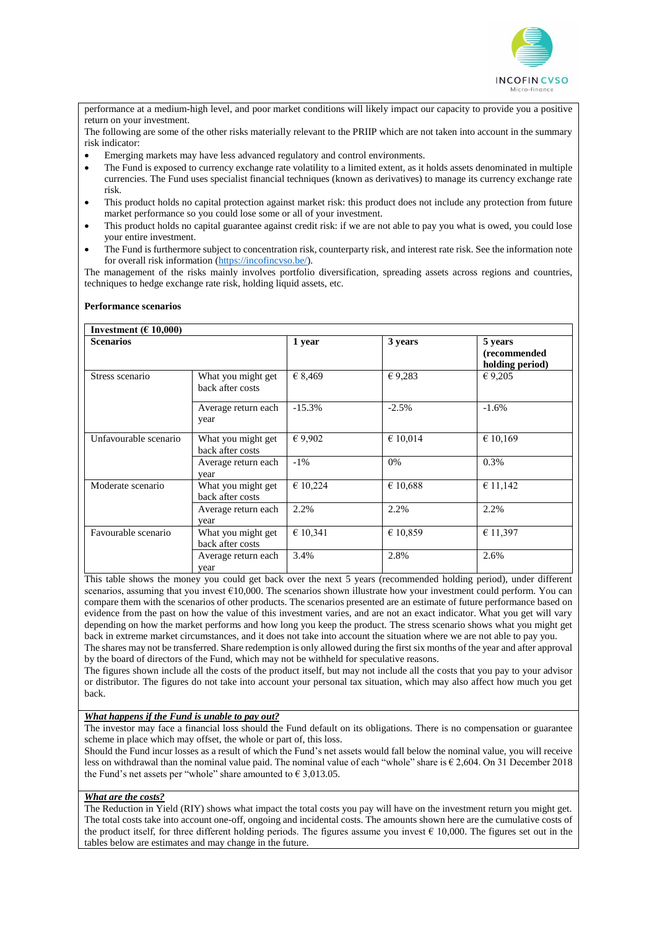

performance at a medium-high level, and poor market conditions will likely impact our capacity to provide you a positive return on your investment.

The following are some of the other risks materially relevant to the PRIIP which are not taken into account in the summary risk indicator:

- Emerging markets may have less advanced regulatory and control environments.
- The Fund is exposed to currency exchange rate volatility to a limited extent, as it holds assets denominated in multiple currencies. The Fund uses specialist financial techniques (known as derivatives) to manage its currency exchange rate risk.
- This product holds no capital protection against market risk: this product does not include any protection from future market performance so you could lose some or all of your investment.
- This product holds no capital guarantee against credit risk: if we are not able to pay you what is owed, you could lose your entire investment.
- The Fund is furthermore subject to concentration risk, counterparty risk, and interest rate risk. See the information note for overall risk information [\(https://incofincvso.be/\)](https://incofincvso.be/).

The management of the risks mainly involves portfolio diversification, spreading assets across regions and countries, techniques to hedge exchange rate risk, holding liquid assets, etc.

#### **Performance scenarios**

| Investment ( $\epsilon$ 10,000) |                                        |          |          |                                            |  |
|---------------------------------|----------------------------------------|----------|----------|--------------------------------------------|--|
| <b>Scenarios</b>                |                                        | 1 year   | 3 years  | 5 years<br>(recommended<br>holding period) |  |
| Stress scenario                 | What you might get<br>back after costs | € 8,469  | € 9,283  | € 9,205                                    |  |
|                                 | Average return each<br>year            | $-15.3%$ | $-2.5%$  | $-1.6%$                                    |  |
| Unfavourable scenario           | What you might get<br>back after costs | € 9,902  | € 10,014 | € 10,169                                   |  |
|                                 | Average return each<br>year            | $-1\%$   | 0%       | 0.3%                                       |  |
| Moderate scenario               | What you might get<br>back after costs | € 10,224 | € 10,688 | € 11,142                                   |  |
|                                 | Average return each<br>year            | 2.2%     | 2.2%     | 2.2%                                       |  |
| Favourable scenario             | What you might get<br>back after costs | € 10,341 | € 10,859 | € 11,397                                   |  |
|                                 | Average return each<br>year            | 3.4%     | 2.8%     | 2.6%                                       |  |

This table shows the money you could get back over the next 5 years (recommended holding period), under different scenarios, assuming that you invest  $\epsilon$ 10,000. The scenarios shown illustrate how your investment could perform. You can compare them with the scenarios of other products. The scenarios presented are an estimate of future performance based on evidence from the past on how the value of this investment varies, and are not an exact indicator. What you get will vary depending on how the market performs and how long you keep the product. The stress scenario shows what you might get back in extreme market circumstances, and it does not take into account the situation where we are not able to pay you.

The shares may not be transferred. Share redemption is only allowed during the first six months of the year and after approval by the board of directors of the Fund, which may not be withheld for speculative reasons.

The figures shown include all the costs of the product itself, but may not include all the costs that you pay to your advisor or distributor. The figures do not take into account your personal tax situation, which may also affect how much you get back.

### *What happens if the Fund is unable to pay out?*

The investor may face a financial loss should the Fund default on its obligations. There is no compensation or guarantee scheme in place which may offset, the whole or part of, this loss.

Should the Fund incur losses as a result of which the Fund's net assets would fall below the nominal value, you will receive less on withdrawal than the nominal value paid. The nominal value of each "whole" share is € 2,604. On 31 December 2018 the Fund's net assets per "whole" share amounted to  $\epsilon$  3.013.05.

### *What are the costs?*

The Reduction in Yield (RIY) shows what impact the total costs you pay will have on the investment return you might get. The total costs take into account one-off, ongoing and incidental costs. The amounts shown here are the cumulative costs of the product itself, for three different holding periods. The figures assume you invest  $\epsilon$  10,000. The figures set out in the tables below are estimates and may change in the future.